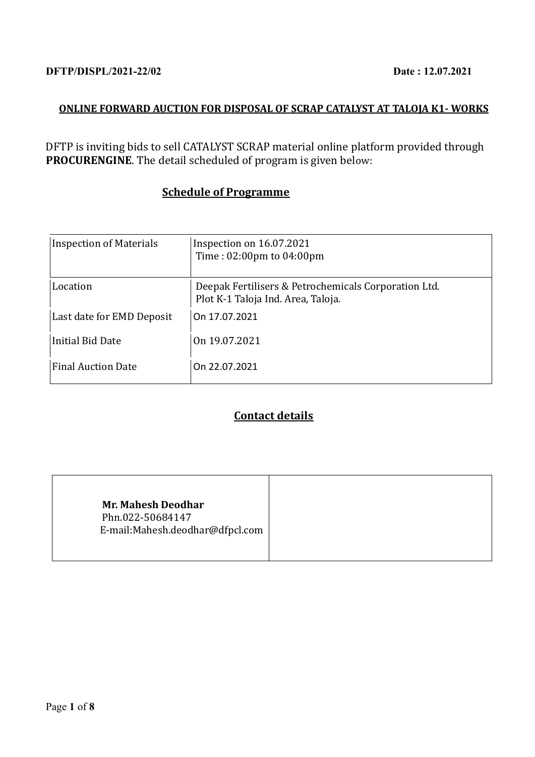# **ONLINE FORWARD AUCTION FOR DISPOSAL OF SCRAP CATALYST AT TALOJA K1- WORKS**

DFTP is inviting bids to sell CATALYST SCRAP material online platform provided through **PROCURENGINE**. The detail scheduled of program is given below:

# **Schedule of Programme**

| <b>Inspection of Materials</b> | Inspection on 16.07.2021<br>Time: 02:00pm to 04:00pm                                       |
|--------------------------------|--------------------------------------------------------------------------------------------|
| Location                       | Deepak Fertilisers & Petrochemicals Corporation Ltd.<br>Plot K-1 Taloja Ind. Area, Taloja. |
| Last date for EMD Deposit      | On 17.07.2021                                                                              |
| <b>Initial Bid Date</b>        | On 19.07.2021                                                                              |
| <b>Final Auction Date</b>      | On 22.07.2021                                                                              |

# **Contact details**

|--|--|--|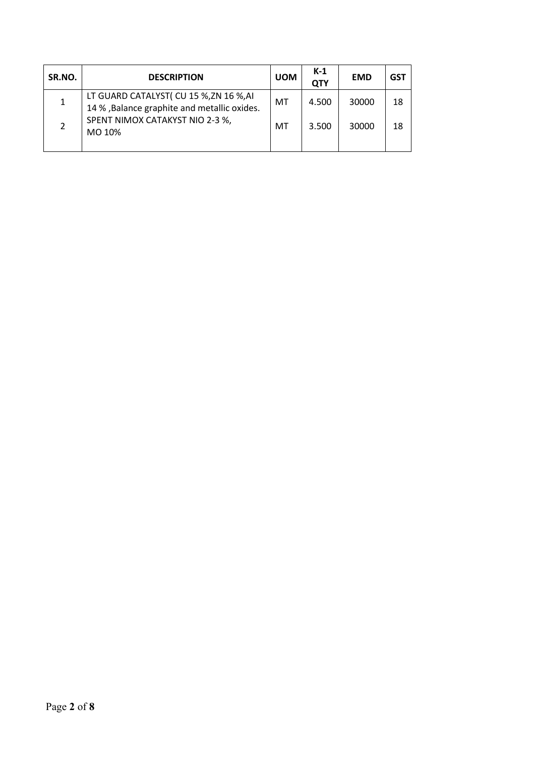| SR.NO. | <b>DESCRIPTION</b>                                                                                                                   | <b>UOM</b> | $K-1$<br><b>QTY</b> | <b>EMD</b> | <b>GST</b> |
|--------|--------------------------------------------------------------------------------------------------------------------------------------|------------|---------------------|------------|------------|
|        | LT GUARD CATALYST( CU 15 %, ZN 16 %, AI<br>14 % , Balance graphite and metallic oxides.<br>SPENT NIMOX CATAKYST NIO 2-3 %,<br>MO 10% | МT         | 4.500               | 30000      | 18         |
|        |                                                                                                                                      | МT         | 3.500               | 30000      | 18         |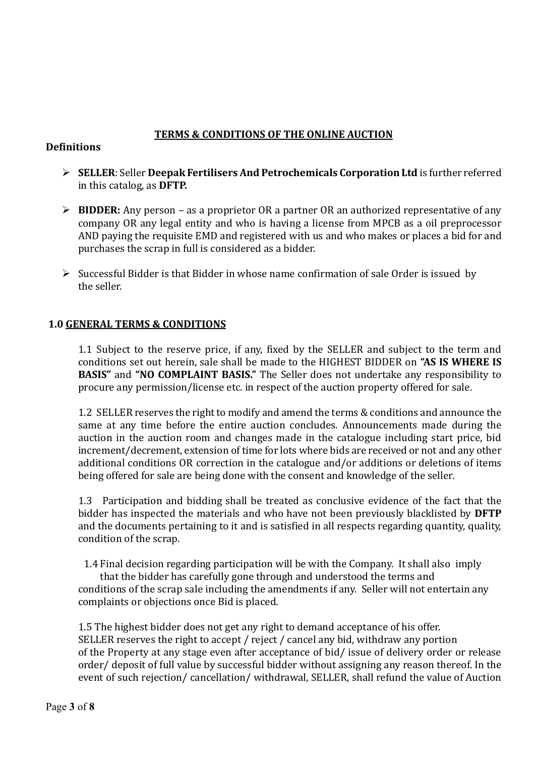## **TERMS & CONDITIONS OF THE ONLINE AUCTION**

## **Definitions**

- ➢ **SELLER**: Seller **Deepak Fertilisers And Petrochemicals Corporation Ltd** is further referred in this catalog, as **DFTP.**
- ➢ **BIDDER:** Any person as a proprietor OR a partner OR an authorized representative of any company OR any legal entity and who is having a license from MPCB as a oil preprocessor AND paying the requisite EMD and registered with us and who makes or places a bid for and purchases the scrap in full is considered as a bidder.
- ➢ Successful Bidder is that Bidder in whose name confirmation of sale Order is issued by the seller.

## **1.0 GENERAL TERMS & CONDITIONS**

1.1 Subject to the reserve price, if any, fixed by the SELLER and subject to the term and conditions set out herein, sale shall be made to the HIGHEST BIDDER on **"AS IS WHERE IS BASIS"** and **"NO COMPLAINT BASIS."** The Seller does not undertake any responsibility to procure any permission/license etc. in respect of the auction property offered for sale.

1.2 SELLER reserves the right to modify and amend the terms & conditions and announce the same at any time before the entire auction concludes. Announcements made during the auction in the auction room and changes made in the catalogue including start price, bid increment/decrement, extension of time for lots where bids are received or not and any other additional conditions OR correction in the catalogue and/or additions or deletions of items being offered for sale are being done with the consent and knowledge of the seller.

1.3 Participation and bidding shall be treated as conclusive evidence of the fact that the bidder has inspected the materials and who have not been previously blacklisted by **DFTP** and the documents pertaining to it and is satisfied in all respects regarding quantity, quality, condition of the scrap.

1.4 Final decision regarding participation will be with the Company. It shall also imply

that the bidder has carefully gone through and understood the terms and conditions of the scrap sale including the amendments if any. Seller will not entertain any complaints or objections once Bid is placed.

1.5 The highest bidder does not get any right to demand acceptance of his offer. SELLER reserves the right to accept / reject / cancel any bid, withdraw any portion of the Property at any stage even after acceptance of bid/ issue of delivery order or release order/ deposit of full value by successful bidder without assigning any reason thereof. In the event of such rejection/ cancellation/ withdrawal, SELLER, shall refund the value of Auction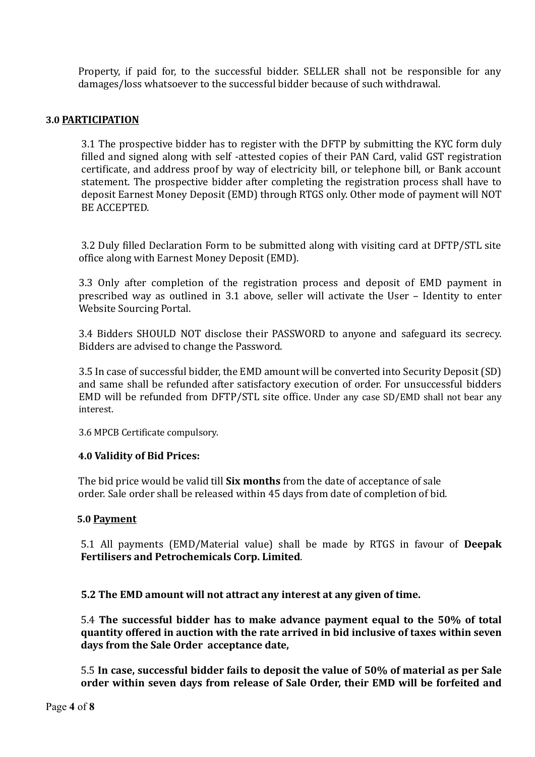Property, if paid for, to the successful bidder. SELLER shall not be responsible for any damages/loss whatsoever to the successful bidder because of such withdrawal.

#### **3.0 PARTICIPATION**

3.1 The prospective bidder has to register with the DFTP by submitting the KYC form duly filled and signed along with self -attested copies of their PAN Card, valid GST registration certificate, and address proof by way of electricity bill, or telephone bill, or Bank account statement. The prospective bidder after completing the registration process shall have to deposit Earnest Money Deposit (EMD) through RTGS only. Other mode of payment will NOT BE ACCEPTED.

3.2 Duly filled Declaration Form to be submitted along with visiting card at DFTP/STL site office along with Earnest Money Deposit (EMD).

3.3 Only after completion of the registration process and deposit of EMD payment in prescribed way as outlined in 3.1 above, seller will activate the User – Identity to enter Website Sourcing Portal.

3.4 Bidders SHOULD NOT disclose their PASSWORD to anyone and safeguard its secrecy. Bidders are advised to change the Password.

3.5 In case of successful bidder, the EMD amount will be converted into Security Deposit (SD) and same shall be refunded after satisfactory execution of order. For unsuccessful bidders EMD will be refunded from DFTP/STL site office. Under any case SD/EMD shall not bear any interest.

3.6 MPCB Certificate compulsory.

#### **4.0 Validity of Bid Prices:**

 The bid price would be valid till **Six months** from the date of acceptance of sale order. Sale order shall be released within 45 days from date of completion of bid.

#### **5.0 Payment**

5.1 All payments (EMD/Material value) shall be made by RTGS in favour of **Deepak Fertilisers and Petrochemicals Corp. Limited**.

**5.2 The EMD amount will not attract any interest at any given of time.**

5.4 **The successful bidder has to make advance payment equal to the 50% of total quantity offered in auction with the rate arrived in bid inclusive of taxes within seven days from the Sale Order acceptance date,** 

5.5 **In case, successful bidder fails to deposit the value of 50% of material as per Sale order within seven days from release of Sale Order, their EMD will be forfeited and**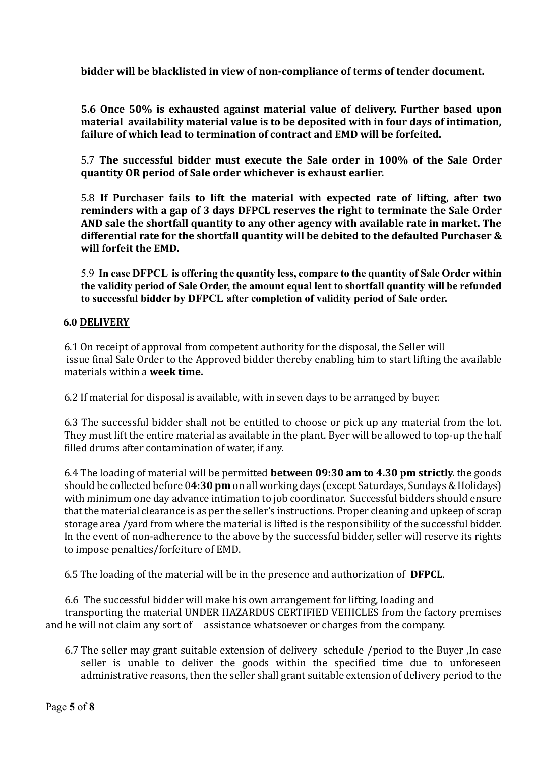**bidder will be blacklisted in view of non-compliance of terms of tender document.**

**5.6 Once 50% is exhausted against material value of delivery. Further based upon material availability material value is to be deposited with in four days of intimation, failure of which lead to termination of contract and EMD will be forfeited.**

5.7 **The successful bidder must execute the Sale order in 100% of the Sale Order quantity OR period of Sale order whichever is exhaust earlier.**

5.8 **If Purchaser fails to lift the material with expected rate of lifting, after two reminders with a gap of 3 days DFPCL reserves the right to terminate the Sale Order AND sale the shortfall quantity to any other agency with available rate in market. The differential rate for the shortfall quantity will be debited to the defaulted Purchaser & will forfeit the EMD.** 

5.9 **In case DFPCL is offering the quantity less, compare to the quantity of Sale Order within the validity period of Sale Order, the amount equal lent to shortfall quantity will be refunded to successful bidder by DFPCL after completion of validity period of Sale order.** 

#### **6.0 DELIVERY**

6.1 On receipt of approval from competent authority for the disposal, the Seller will issue final Sale Order to the Approved bidder thereby enabling him to start lifting the available materials within a **week time.**

6.2 If material for disposal is available, with in seven days to be arranged by buyer.

6.3 The successful bidder shall not be entitled to choose or pick up any material from the lot. They must lift the entire material as available in the plant. Byer will be allowed to top-up the half filled drums after contamination of water, if any.

6.4 The loading of material will be permitted **between 09:30 am to 4.30 pm strictly.** the goods should be collected before 0**4:30 pm** on all working days (except Saturdays, Sundays & Holidays) with minimum one day advance intimation to job coordinator. Successful bidders should ensure that the material clearance is as per the seller's instructions. Proper cleaning and upkeep of scrap storage area /yard from where the material is lifted is the responsibility of the successful bidder. In the event of non-adherence to the above by the successful bidder, seller will reserve its rights to impose penalties/forfeiture of EMD.

6.5 The loading of the material will be in the presence and authorization of **DFPCL**.

6.6 The successful bidder will make his own arrangement for lifting, loading and transporting the material UNDER HAZARDUS CERTIFIED VEHICLES from the factory premises and he will not claim any sort of assistance whatsoever or charges from the company.

6.7 The seller may grant suitable extension of delivery schedule /period to the Buyer ,In case seller is unable to deliver the goods within the specified time due to unforeseen administrative reasons, then the seller shall grant suitable extension of delivery period to the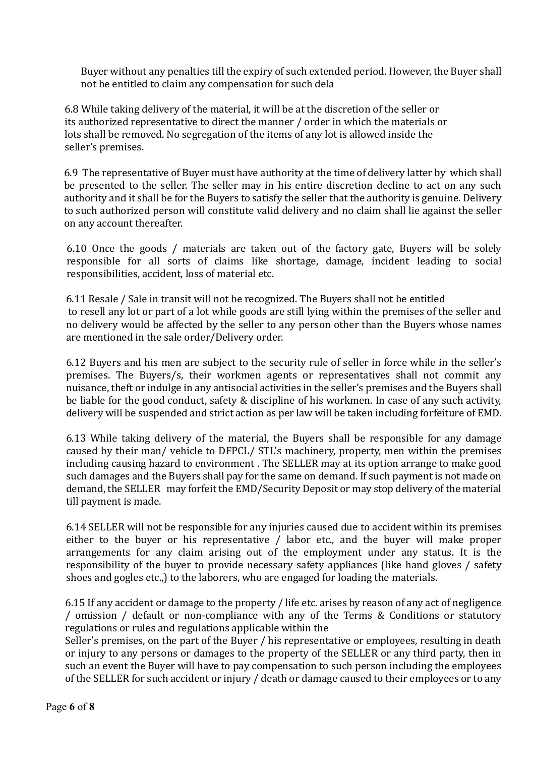Buyer without any penalties till the expiry of such extended period. However, the Buyer shall not be entitled to claim any compensation for such dela

6.8 While taking delivery of the material, it will be at the discretion of the seller or its authorized representative to direct the manner / order in which the materials or lots shall be removed. No segregation of the items of any lot is allowed inside the seller's premises.

6.9 The representative of Buyer must have authority at the time of delivery latter by which shall be presented to the seller. The seller may in his entire discretion decline to act on any such authority and it shall be for the Buyers to satisfy the seller that the authority is genuine. Delivery to such authorized person will constitute valid delivery and no claim shall lie against the seller on any account thereafter.

6.10 Once the goods / materials are taken out of the factory gate, Buyers will be solely responsible for all sorts of claims like shortage, damage, incident leading to social responsibilities, accident, loss of material etc.

6.11 Resale / Sale in transit will not be recognized. The Buyers shall not be entitled to resell any lot or part of a lot while goods are still lying within the premises of the seller and no delivery would be affected by the seller to any person other than the Buyers whose names are mentioned in the sale order/Delivery order.

6.12 Buyers and his men are subject to the security rule of seller in force while in the seller's premises. The Buyers/s, their workmen agents or representatives shall not commit any nuisance, theft or indulge in any antisocial activities in the seller's premises and the Buyers shall be liable for the good conduct, safety & discipline of his workmen. In case of any such activity, delivery will be suspended and strict action as per law will be taken including forfeiture of EMD.

6.13 While taking delivery of the material, the Buyers shall be responsible for any damage caused by their man/ vehicle to DFPCL/ STL's machinery, property, men within the premises including causing hazard to environment . The SELLER may at its option arrange to make good such damages and the Buyers shall pay for the same on demand. If such payment is not made on demand, the SELLER may forfeit the EMD/Security Deposit or may stop delivery of the material till payment is made.

6.14 SELLER will not be responsible for any injuries caused due to accident within its premises either to the buyer or his representative / labor etc., and the buyer will make proper arrangements for any claim arising out of the employment under any status. It is the responsibility of the buyer to provide necessary safety appliances (like hand gloves / safety shoes and gogles etc.,) to the laborers, who are engaged for loading the materials.

6.15 If any accident or damage to the property / life etc. arises by reason of any act of negligence / omission / default or non-compliance with any of the Terms & Conditions or statutory regulations or rules and regulations applicable within the

Seller's premises, on the part of the Buyer / his representative or employees, resulting in death or injury to any persons or damages to the property of the SELLER or any third party, then in such an event the Buyer will have to pay compensation to such person including the employees of the SELLER for such accident or injury / death or damage caused to their employees or to any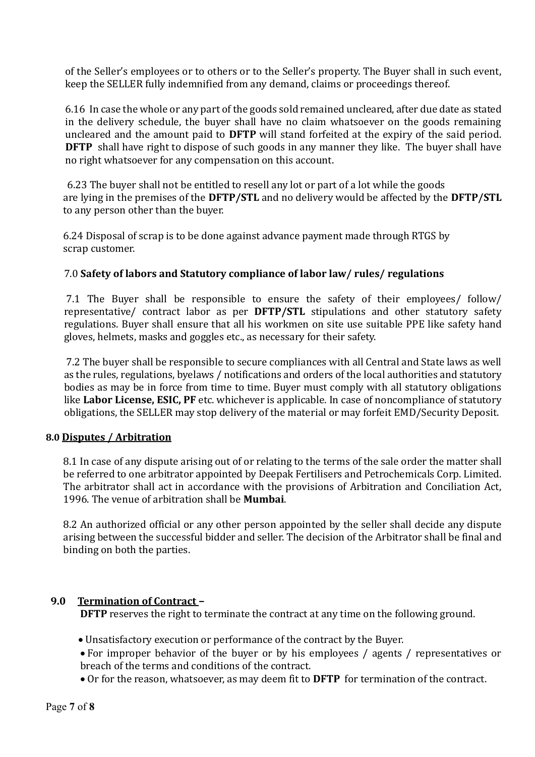of the Seller's employees or to others or to the Seller's property. The Buyer shall in such event, keep the SELLER fully indemnified from any demand, claims or proceedings thereof.

6.16 In case the whole or any part of the goods sold remained uncleared, after due date as stated in the delivery schedule, the buyer shall have no claim whatsoever on the goods remaining uncleared and the amount paid to **DFTP** will stand forfeited at the expiry of the said period. **DFTP** shall have right to dispose of such goods in any manner they like. The buyer shall have no right whatsoever for any compensation on this account.

6.23 The buyer shall not be entitled to resell any lot or part of a lot while the goods are lying in the premises of the **DFTP/STL** and no delivery would be affected by the **DFTP/STL**  to any person other than the buyer.

6.24 Disposal of scrap is to be done against advance payment made through RTGS by scrap customer.

## 7.0 **Safety of labors and Statutory compliance of labor law/ rules/ regulations**

7.1 The Buyer shall be responsible to ensure the safety of their employees/ follow/ representative/ contract labor as per **DFTP/STL** stipulations and other statutory safety regulations. Buyer shall ensure that all his workmen on site use suitable PPE like safety hand gloves, helmets, masks and goggles etc., as necessary for their safety.

7.2 The buyer shall be responsible to secure compliances with all Central and State laws as well as the rules, regulations, byelaws / notifications and orders of the local authorities and statutory bodies as may be in force from time to time. Buyer must comply with all statutory obligations like **Labor License, ESIC, PF** etc. whichever is applicable. In case of noncompliance of statutory obligations, the SELLER may stop delivery of the material or may forfeit EMD/Security Deposit.

## **8.0 Disputes / Arbitration**

8.1 In case of any dispute arising out of or relating to the terms of the sale order the matter shall be referred to one arbitrator appointed by Deepak Fertilisers and Petrochemicals Corp. Limited. The arbitrator shall act in accordance with the provisions of Arbitration and Conciliation Act, 1996. The venue of arbitration shall be **Mumbai**.

8.2 An authorized official or any other person appointed by the seller shall decide any dispute arising between the successful bidder and seller. The decision of the Arbitrator shall be final and binding on both the parties.

## **9.0 Termination of Contract –**

**DFTP** reserves the right to terminate the contract at any time on the following ground.

- Unsatisfactory execution or performance of the contract by the Buyer.
- For improper behavior of the buyer or by his employees / agents / representatives or breach of the terms and conditions of the contract.
- Or for the reason, whatsoever, as may deem fit to **DFTP** for termination of the contract.